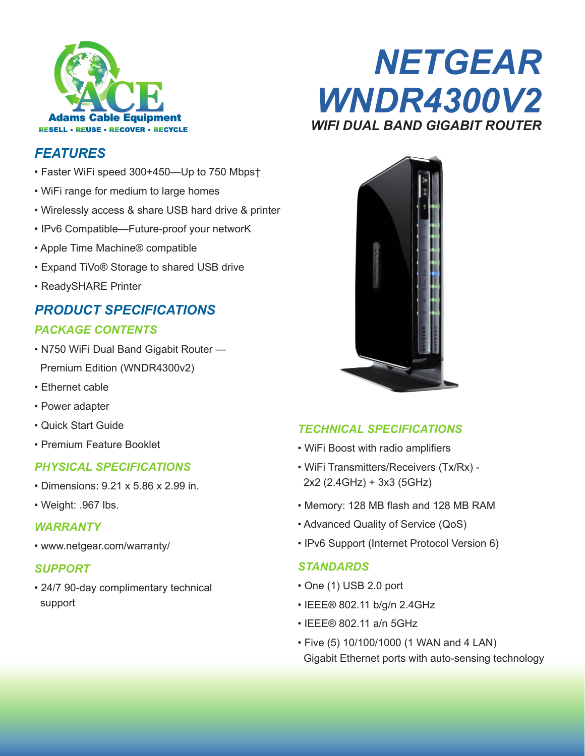



# *FEATURES*

- Faster WiFi speed 300+450—Up to 750 Mbps†
- WiFi range for medium to large homes
- Wirelessly access & share USB hard drive & printer
- IPv6 Compatible—Future-proof your networK
- Apple Time Machine® compatible
- Expand TiVo® Storage to shared USB drive
- ReadySHARE Printer

# *PACKAGE CONTENTS PRODUCT SPECIFICATIONS*

- N750 WiFi Dual Band Gigabit Router Premium Edition (WNDR4300v2)
- Ethernet cable
- Power adapter
- Quick Start Guide
- Premium Feature Booklet

### *PHYSICAL SPECIFICATIONS*

- Dimensions: 9.21 x 5.86 x 2.99 in.
- Weight: .967 lbs.

#### *WARRANTY*

• www.netgear.com/warranty/

### *SUPPORT*

• 24/7 90-day complimentary technical support



### *TECHNICAL SPECIFICATIONS*

- WiFi Boost with radio amplifiers
- WiFi Transmitters/Receivers (Tx/Rx) 2x2 (2.4GHz) + 3x3 (5GHz)
- Memory: 128 MB flash and 128 MB RAM
- Advanced Quality of Service (QoS)
- IPv6 Support (Internet Protocol Version 6)

### *STANDARDS*

- One (1) USB 2.0 port
- IEEE® 802.11 b/g/n 2.4GHz
- IEEE® 802.11 a/n 5GHz
- Five (5) 10/100/1000 (1 WAN and 4 LAN) Gigabit Ethernet ports with auto-sensing technology